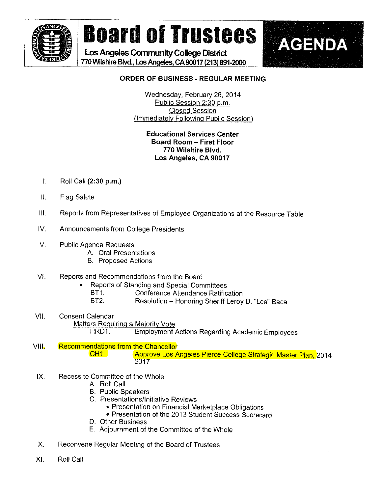

# Board of Trustees | AGENDA

Los Angeles Community College District ft 770WHshire Blvd., Los Angeles, CA 90017 (213) 891-2000



### ORDER OF BUSINESS - REGULAR MEETING

Wednesday, February 26, 2014 Public Session 2:30 p.m. Closed Session (Immediately Following Public Session)

#### Educational Services Center Board Room - First Floor 770 Wilshire Blvd. Los Angeles, CA 90017

- $\mathsf{R}$ . Roll Call (2:30 p.m.)
- II Flag Salute
- III. Reports from Representatives of Employee Organizations at the Resource Table
- IV. Announcements from College Presidents
- V. Public Agenda Requests
	- A. Orai Presentations
	- B. Proposed Actions
- V!. Reports and Recommendations from the Board
	- Reports of Standing and Special Committees<br>BT1. Conference Attendance Ratific
		- **Conference Attendance Ratification**
		- BT2. Resolution Honoring Sheriff Leroy D. "Lee" Baca
- Vil. Consent Calendar Matters Requiring a Majority Vote HRD1. Employment Actions Regarding Academic Employees
- VIII. Recommendations from the Chancellor CH1 Approve Los Angeles Pierce College Strategic Master Plan, 2014-2017
- IX. Recess to Committee of the Whole
	- A. Roll Call
	- B. Public Speakers
	- C. Presentations/lnitiative Reviews
		- Presentation on Financial Marketplace Obligations
		- . Presentation of the 2013 Student Success Scorecard
	- D. Other Business
	- E. Adjournment of the Committee of the Whole
- X. Reconvene Regular Meeting of the Board of Trustees
- Xl. Roll Cali